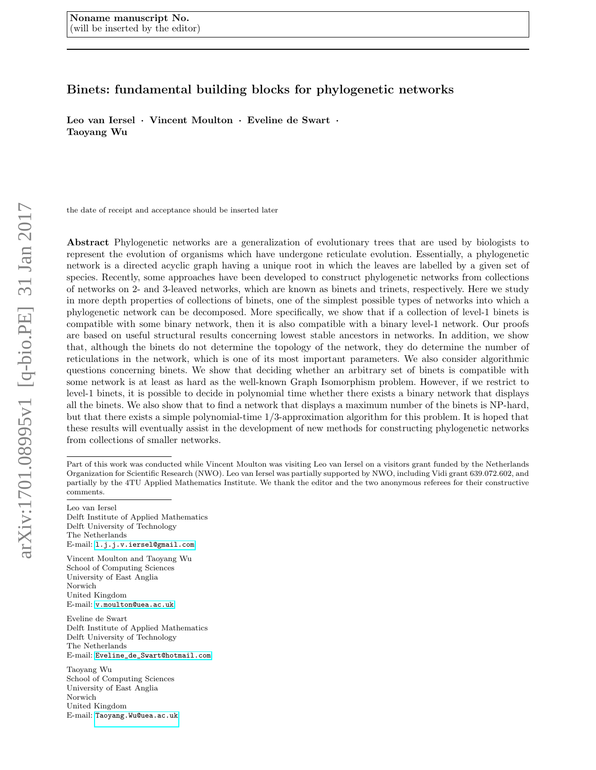# Binets: fundamental building blocks for phylogenetic networks

Leo van Iersel · Vincent Moulton · Eveline de Swart · Taoyang Wu

the date of receipt and acceptance should be inserted later

Abstract Phylogenetic networks are a generalization of evolutionary trees that are used by biologists to represent the evolution of organisms which have undergone reticulate evolution. Essentially, a phylogenetic network is a directed acyclic graph having a unique root in which the leaves are labelled by a given set of species. Recently, some approaches have been developed to construct phylogenetic networks from collections of networks on 2- and 3-leaved networks, which are known as binets and trinets, respectively. Here we study in more depth properties of collections of binets, one of the simplest possible types of networks into which a phylogenetic network can be decomposed. More specifically, we show that if a collection of level-1 binets is compatible with some binary network, then it is also compatible with a binary level-1 network. Our proofs are based on useful structural results concerning lowest stable ancestors in networks. In addition, we show that, although the binets do not determine the topology of the network, they do determine the number of reticulations in the network, which is one of its most important parameters. We also consider algorithmic questions concerning binets. We show that deciding whether an arbitrary set of binets is compatible with some network is at least as hard as the well-known Graph Isomorphism problem. However, if we restrict to level-1 binets, it is possible to decide in polynomial time whether there exists a binary network that displays all the binets. We also show that to find a network that displays a maximum number of the binets is NP-hard, but that there exists a simple polynomial-time 1/3-approximation algorithm for this problem. It is hoped that these results will eventually assist in the development of new methods for constructing phylogenetic networks from collections of smaller networks.

Leo van Iersel

Delft Institute of Applied Mathematics Delft University of Technology The Netherlands E-mail: <l.j.j.v.iersel@gmail.com>

Vincent Moulton and Taoyang Wu School of Computing Sciences University of East Anglia Norwich United Kingdom E-mail: <v.moulton@uea.ac.uk>

Eveline de Swart Delft Institute of Applied Mathematics Delft University of Technology The Netherlands E-mail: [Eveline\\_de\\_Swart@hotmail.com](Eveline_de_Swart@hotmail.com)

Taoyang Wu School of Computing Sciences University of East Anglia Norwich United Kingdom E-mail: <Taoyang.Wu@uea.ac.uk>

Part of this work was conducted while Vincent Moulton was visiting Leo van Iersel on a visitors grant funded by the Netherlands Organization for Scientific Research (NWO). Leo van Iersel was partially supported by NWO, including Vidi grant 639.072.602, and partially by the 4TU Applied Mathematics Institute. We thank the editor and the two anonymous referees for their constructive comments.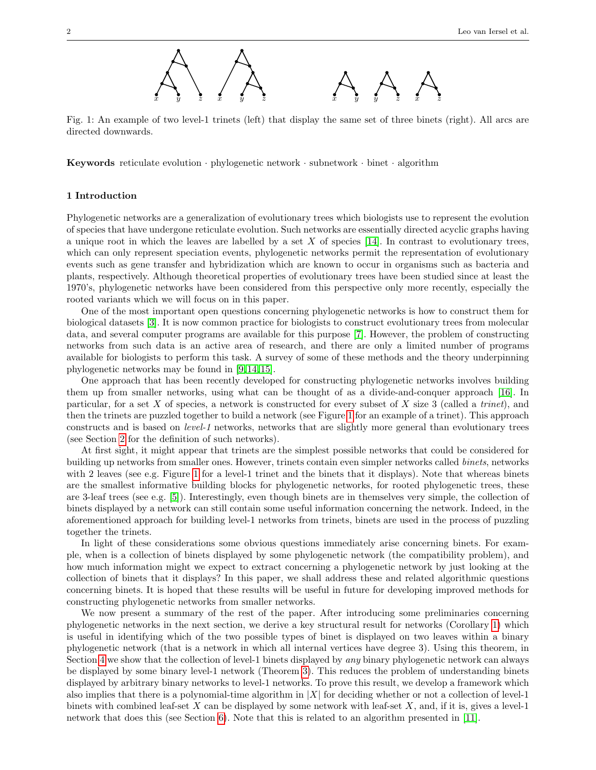

<span id="page-1-0"></span>Fig. 1: An example of two level-1 trinets (left) that display the same set of three binets (right). All arcs are directed downwards.

**Keywords** reticulate evolution  $\cdot$  phylogenetic network  $\cdot$  subnetwork  $\cdot$  binet  $\cdot$  algorithm

# 1 Introduction

Phylogenetic networks are a generalization of evolutionary trees which biologists use to represent the evolution of species that have undergone reticulate evolution. Such networks are essentially directed acyclic graphs having a unique root in which the leaves are labelled by a set  $X$  of species [\[14\]](#page-13-0). In contrast to evolutionary trees, which can only represent speciation events, phylogenetic networks permit the representation of evolutionary events such as gene transfer and hybridization which are known to occur in organisms such as bacteria and plants, respectively. Although theoretical properties of evolutionary trees have been studied since at least the 1970's, phylogenetic networks have been considered from this perspective only more recently, especially the rooted variants which we will focus on in this paper.

One of the most important open questions concerning phylogenetic networks is how to construct them for biological datasets [\[3\]](#page-12-0). It is now common practice for biologists to construct evolutionary trees from molecular data, and several computer programs are available for this purpose [\[7\]](#page-12-1). However, the problem of constructing networks from such data is an active area of research, and there are only a limited number of programs available for biologists to perform this task. A survey of some of these methods and the theory underpinning phylogenetic networks may be found in [\[9,](#page-12-2) [14,](#page-13-0) [15\]](#page-13-1).

One approach that has been recently developed for constructing phylogenetic networks involves building them up from smaller networks, using what can be thought of as a divide-and-conquer approach [\[16\]](#page-13-2). In particular, for a set  $X$  of species, a network is constructed for every subset of  $X$  size 3 (called a *trinet*), and then the trinets are puzzled together to build a network (see Figure [1](#page-1-0) for an example of a trinet). This approach constructs and is based on level-1 networks, networks that are slightly more general than evolutionary trees (see Section [2](#page-2-0) for the definition of such networks).

At first sight, it might appear that trinets are the simplest possible networks that could be considered for building up networks from smaller ones. However, trinets contain even simpler networks called binets, networks with 2 leaves (see e.g. Figure [1](#page-1-0) for a level-1 trinet and the binets that it displays). Note that whereas binets are the smallest informative building blocks for phylogenetic networks, for rooted phylogenetic trees, these are 3-leaf trees (see e.g. [\[5\]](#page-12-3)). Interestingly, even though binets are in themselves very simple, the collection of binets displayed by a network can still contain some useful information concerning the network. Indeed, in the aforementioned approach for building level-1 networks from trinets, binets are used in the process of puzzling together the trinets.

In light of these considerations some obvious questions immediately arise concerning binets. For example, when is a collection of binets displayed by some phylogenetic network (the compatibility problem), and how much information might we expect to extract concerning a phylogenetic network by just looking at the collection of binets that it displays? In this paper, we shall address these and related algorithmic questions concerning binets. It is hoped that these results will be useful in future for developing improved methods for constructing phylogenetic networks from smaller networks.

We now present a summary of the rest of the paper. After introducing some preliminaries concerning phylogenetic networks in the next section, we derive a key structural result for networks (Corollary [1\)](#page-5-0) which is useful in identifying which of the two possible types of binet is displayed on two leaves within a binary phylogenetic network (that is a network in which all internal vertices have degree 3). Using this theorem, in Section [4](#page-5-1) we show that the collection of level-1 binets displayed by any binary phylogenetic network can always be displayed by some binary level-1 network (Theorem [3\)](#page-7-0). This reduces the problem of understanding binets displayed by arbitrary binary networks to level-1 networks. To prove this result, we develop a framework which also implies that there is a polynomial-time algorithm in  $|X|$  for deciding whether or not a collection of level-1 binets with combined leaf-set  $X$  can be displayed by some network with leaf-set  $X$ , and, if it is, gives a level-1 network that does this (see Section [6\)](#page-9-0). Note that this is related to an algorithm presented in [\[11\]](#page-13-3).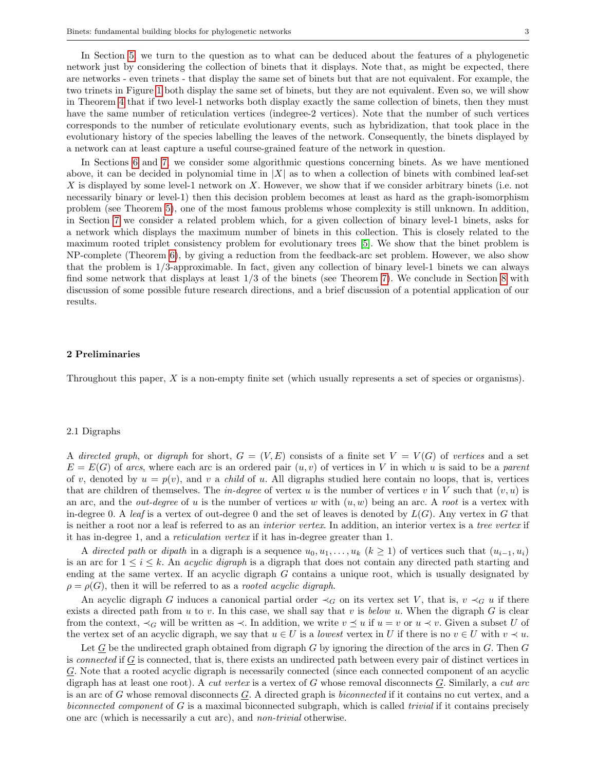In Section [5,](#page-7-1) we turn to the question as to what can be deduced about the features of a phylogenetic network just by considering the collection of binets that it displays. Note that, as might be expected, there are networks - even trinets - that display the same set of binets but that are not equivalent. For example, the two trinets in Figure [1](#page-1-0) both display the same set of binets, but they are not equivalent. Even so, we will show in Theorem [4](#page-8-0) that if two level-1 networks both display exactly the same collection of binets, then they must have the same number of reticulation vertices (indegree-2 vertices). Note that the number of such vertices corresponds to the number of reticulate evolutionary events, such as hybridization, that took place in the evolutionary history of the species labelling the leaves of the network. Consequently, the binets displayed by a network can at least capture a useful course-grained feature of the network in question.

In Sections [6](#page-9-0) and [7,](#page-10-0) we consider some algorithmic questions concerning binets. As we have mentioned above, it can be decided in polynomial time in  $|X|$  as to when a collection of binets with combined leaf-set  $X$  is displayed by some level-1 network on  $X$ . However, we show that if we consider arbitrary binets (i.e. not necessarily binary or level-1) then this decision problem becomes at least as hard as the graph-isomorphism problem (see Theorem [5\)](#page-9-1), one of the most famous problems whose complexity is still unknown. In addition, in Section [7](#page-10-0) we consider a related problem which, for a given collection of binary level-1 binets, asks for a network which displays the maximum number of binets in this collection. This is closely related to the maximum rooted triplet consistency problem for evolutionary trees [\[5\]](#page-12-3). We show that the binet problem is NP-complete (Theorem [6\)](#page-11-0), by giving a reduction from the feedback-arc set problem. However, we also show that the problem is 1/3-approximable. In fact, given any collection of binary level-1 binets we can always find some network that displays at least 1/3 of the binets (see Theorem [7\)](#page-11-1). We conclude in Section [8](#page-12-4) with discussion of some possible future research directions, and a brief discussion of a potential application of our results.

## <span id="page-2-0"></span>2 Preliminaries

Throughout this paper, X is a non-empty finite set (which usually represents a set of species or organisms).

# 2.1 Digraphs

A directed graph, or digraph for short,  $G = (V, E)$  consists of a finite set  $V = V(G)$  of vertices and a set  $E = E(G)$  of arcs, where each arc is an ordered pair  $(u, v)$  of vertices in V in which u is said to be a parent of v, denoted by  $u = p(v)$ , and v a *child* of u. All digraphs studied here contain no loops, that is, vertices that are children of themselves. The *in-degree* of vertex u is the number of vertices v in V such that  $(v, u)$  is an arc, and the *out-degree* of u is the number of vertices w with  $(u, w)$  being an arc. A root is a vertex with in-degree 0. A leaf is a vertex of out-degree 0 and the set of leaves is denoted by  $L(G)$ . Any vertex in G that is neither a root nor a leaf is referred to as an interior vertex. In addition, an interior vertex is a tree vertex if it has in-degree 1, and a reticulation vertex if it has in-degree greater than 1.

A directed path or dipath in a digraph is a sequence  $u_0, u_1, \ldots, u_k$   $(k \ge 1)$  of vertices such that  $(u_{i-1}, u_i)$ is an arc for  $1 \leq i \leq k$ . An *acyclic digraph* is a digraph that does not contain any directed path starting and ending at the same vertex. If an acyclic digraph G contains a unique root, which is usually designated by  $\rho = \rho(G)$ , then it will be referred to as a *rooted acyclic digraph*.

An acyclic digraph G induces a canonical partial order  $\prec_G$  on its vertex set V, that is,  $v \prec_G u$  if there exists a directed path from  $u$  to  $v$ . In this case, we shall say that  $v$  is below  $u$ . When the digraph  $G$  is clear from the context,  $\prec_G$  will be written as  $\prec$ . In addition, we write  $v \preceq u$  if  $u = v$  or  $u \prec v$ . Given a subset U of the vertex set of an acyclic digraph, we say that  $u \in U$  is a *lowest* vertex in U if there is no  $v \in U$  with  $v \prec u$ .

Let G be the undirected graph obtained from digraph G by ignoring the direction of the arcs in  $G$ . Then  $G$ is *connected* if  $G$  is connected, that is, there exists an undirected path between every pair of distinct vertices in G. Note that a rooted acyclic digraph is necessarily connected (since each connected component of an acyclic digraph has at least one root). A *cut vertex* is a vertex of G whose removal disconnects  $G$ . Similarly, a *cut arc* is an arc of G whose removal disconnects  $G$ . A directed graph is *biconnected* if it contains no cut vertex, and a biconnected component of  $G$  is a maximal biconnected subgraph, which is called *trivial* if it contains precisely one arc (which is necessarily a cut arc), and non-trivial otherwise.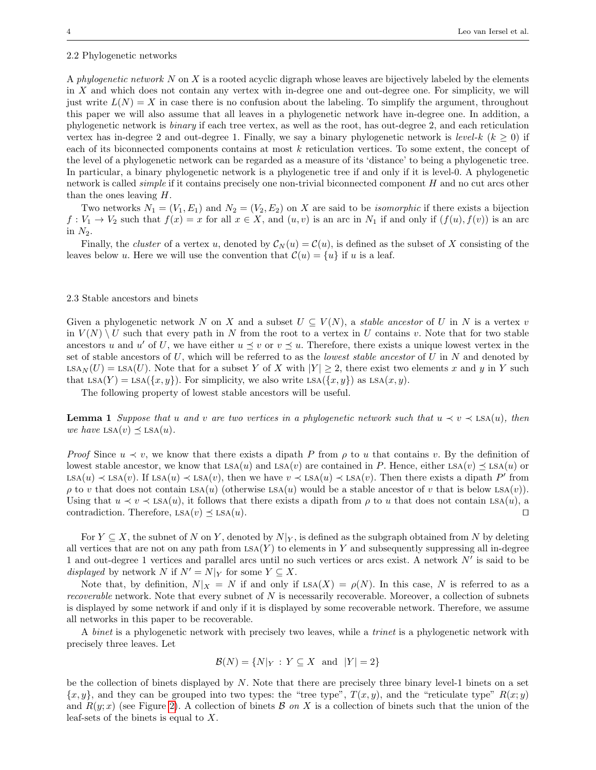#### 2.2 Phylogenetic networks

A phylogenetic network N on X is a rooted acyclic digraph whose leaves are bijectively labeled by the elements in X and which does not contain any vertex with in-degree one and out-degree one. For simplicity, we will just write  $L(N) = X$  in case there is no confusion about the labeling. To simplify the argument, throughout this paper we will also assume that all leaves in a phylogenetic network have in-degree one. In addition, a phylogenetic network is binary if each tree vertex, as well as the root, has out-degree 2, and each reticulation vertex has in-degree 2 and out-degree 1. Finally, we say a binary phylogenetic network is level-k  $(k \geq 0)$  if each of its biconnected components contains at most k reticulation vertices. To some extent, the concept of the level of a phylogenetic network can be regarded as a measure of its 'distance' to being a phylogenetic tree. In particular, a binary phylogenetic network is a phylogenetic tree if and only if it is level-0. A phylogenetic network is called simple if it contains precisely one non-trivial biconnected component H and no cut arcs other than the ones leaving H.

Two networks  $N_1 = (V_1, E_1)$  and  $N_2 = (V_2, E_2)$  on X are said to be *isomorphic* if there exists a bijection  $f: V_1 \to V_2$  such that  $f(x) = x$  for all  $x \in X$ , and  $(u, v)$  is an arc in  $N_1$  if and only if  $(f(u), f(v))$  is an arc in  $N_2$ .

Finally, the *cluster* of a vertex u, denoted by  $C_N(u) = C(u)$ , is defined as the subset of X consisting of the leaves below u. Here we will use the convention that  $\mathcal{C}(u) = \{u\}$  if u is a leaf.

## 2.3 Stable ancestors and binets

Given a phylogenetic network N on X and a subset  $U \subseteq V(N)$ , a stable ancestor of U in N is a vertex v in  $V(N) \setminus U$  such that every path in N from the root to a vertex in U contains v. Note that for two stable ancestors u and u' of U, we have either  $u \leq v$  or  $v \leq u$ . Therefore, there exists a unique lowest vertex in the set of stable ancestors of  $U$ , which will be referred to as the *lowest stable ancestor* of  $U$  in  $N$  and denoted by  $LSA_N(U) = LSA(U)$ . Note that for a subset Y of X with  $|Y| \geq 2$ , there exist two elements x and y in Y such that LSA(Y) = LSA( $\{x, y\}$ ). For simplicity, we also write LSA( $\{x, y\}$ ) as LSA( $x, y$ ).

The following property of lowest stable ancestors will be useful.

<span id="page-3-0"></span>**Lemma 1** Suppose that u and v are two vertices in a phylogenetic network such that  $u \prec v \prec$  LSA(u), then we have  $LSA(v) \preceq LSA(u)$ .

*Proof* Since  $u \prec v$ , we know that there exists a dipath P from  $\rho$  to u that contains v. By the definition of lowest stable ancestor, we know that  $LSA(u)$  and  $LSA(v)$  are contained in P. Hence, either  $LSA(v) \preceq LSA(u)$  or  $LSA(u) \prec LSA(v)$ . If  $LSA(u) \prec LSA(v)$ , then we have  $v \prec LSA(u) \prec LSA(v)$ . Then there exists a dipath P' from  $\rho$  to v that does not contain LSA(u) (otherwise LSA(u) would be a stable ancestor of v that is below LSA(v)). Using that  $u \prec v \prec \text{LSA}(u)$ , it follows that there exists a dipath from  $\rho$  to u that does not contain LSA $(u)$ , a contradiction. Therefore, LSA $(v) \prec \text{LSA}(u)$ . contradiction. Therefore,  $LSA(v) \preceq LSA(u)$ .

For  $Y \subseteq X$ , the subnet of N on Y, denoted by  $N|_Y$ , is defined as the subgraph obtained from N by deleting all vertices that are not on any path from  $LSA(Y)$  to elements in Y and subsequently suppressing all in-degree 1 and out-degree 1 vertices and parallel arcs until no such vertices or arcs exist. A network  $N'$  is said to be displayed by network N if  $N' = N|_Y$  for some  $Y \subseteq X$ .

Note that, by definition,  $N|_X = N$  if and only if  $LSA(X) = \rho(N)$ . In this case, N is referred to as a recoverable network. Note that every subnet of  $N$  is necessarily recoverable. Moreover, a collection of subnets is displayed by some network if and only if it is displayed by some recoverable network. Therefore, we assume all networks in this paper to be recoverable.

A binet is a phylogenetic network with precisely two leaves, while a *trinet* is a phylogenetic network with precisely three leaves. Let

$$
\mathcal{B}(N) = \{N|_Y : Y \subseteq X \text{ and } |Y| = 2\}
$$

be the collection of binets displayed by  $N$ . Note that there are precisely three binary level-1 binets on a set  $\{x, y\}$ , and they can be grouped into two types: the "tree type",  $T(x, y)$ , and the "reticulate type"  $R(x, y)$ and  $R(y; x)$  (see Figure [2\)](#page-4-0). A collection of binets B on X is a collection of binets such that the union of the leaf-sets of the binets is equal to X.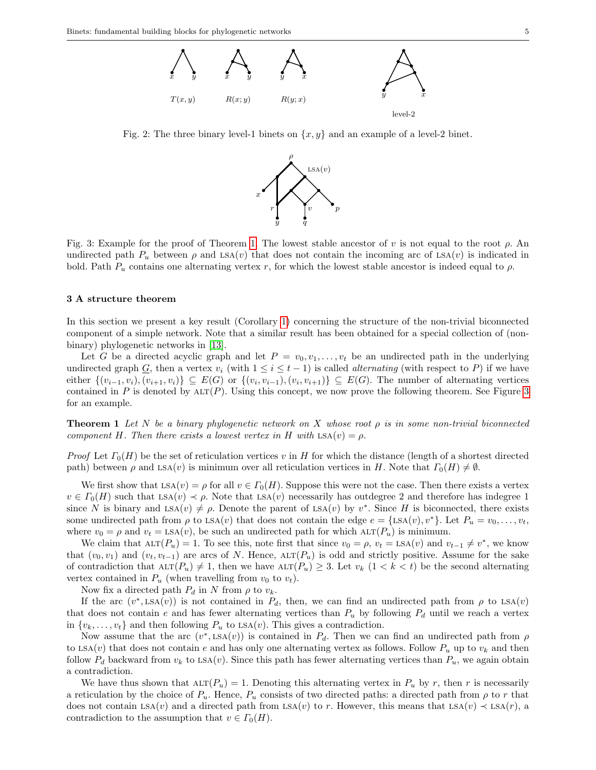<span id="page-4-0"></span>

<span id="page-4-2"></span>Fig. 2: The three binary level-1 binets on  $\{x, y\}$  and an example of a level-2 binet.



Fig. 3: Example for the proof of Theorem [1.](#page-4-1) The lowest stable ancestor of v is not equal to the root  $\rho$ . An undirected path  $P_u$  between  $\rho$  and LSA(v) that does not contain the incoming arc of LSA(v) is indicated in bold. Path  $P_u$  contains one alternating vertex r, for which the lowest stable ancestor is indeed equal to  $\rho$ .

#### 3 A structure theorem

In this section we present a key result (Corollary [1\)](#page-5-0) concerning the structure of the non-trivial biconnected component of a simple network. Note that a similar result has been obtained for a special collection of (nonbinary) phylogenetic networks in [\[13\]](#page-13-4).

Let G be a directed acyclic graph and let  $P = v_0, v_1, \ldots, v_t$  be an undirected path in the underlying undirected graph G, then a vertex  $v_i$  (with  $1 \le i \le t-1$ ) is called *alternating* (with respect to P) if we have either  $\{(v_{i-1}, v_i), (v_{i+1}, v_i)\}\subseteq E(G)$  or  $\{(v_i, v_{i-1}), (v_i, v_{i+1})\}\subseteq E(G)$ . The number of alternating vertices contained in P is denoted by  $\text{ALT}(P)$ . Using this concept, we now prove the following theorem. See Figure [3](#page-4-2) for an example.

<span id="page-4-1"></span>**Theorem 1** Let N be a binary phylogenetic network on X whose root  $\rho$  is in some non-trivial biconnected component H. Then there exists a lowest vertex in H with  $LSA(v) = \rho$ .

Proof Let  $\Gamma_0(H)$  be the set of reticulation vertices v in H for which the distance (length of a shortest directed path) between  $\rho$  and LSA(v) is minimum over all reticulation vertices in H. Note that  $\Gamma_0(H) \neq \emptyset$ .

We first show that  $\text{LSA}(v) = \rho$  for all  $v \in \Gamma_0(H)$ . Suppose this were not the case. Then there exists a vertex  $v \in \Gamma_0(H)$  such that LSA(v)  $\prec \rho$ . Note that LSA(v) necessarily has outdegree 2 and therefore has indegree 1 since N is binary and  $LSA(v) \neq \rho$ . Denote the parent of  $LSA(v)$  by  $v^*$ . Since H is biconnected, there exists some undirected path from  $\rho$  to LSA(v) that does not contain the edge  $e = \{\text{LSA}(v), v^*\}$ . Let  $P_u = v_0, \ldots, v_t$ , where  $v_0 = \rho$  and  $v_t = \text{LSA}(v)$ , be such an undirected path for which  $\text{ALT}(P_u)$  is minimum.

We claim that  $\text{ALT}(P_u) = 1$ . To see this, note first that since  $v_0 = \rho$ ,  $v_t = \text{LSA}(v)$  and  $v_{t-1} \neq v^*$ , we know that  $(v_0, v_1)$  and  $(v_t, v_{t-1})$  are arcs of N. Hence, ALT $(P_u)$  is odd and strictly positive. Assume for the sake of contradiction that  $\text{ALT}(P_u) \neq 1$ , then we have  $\text{ALT}(P_u) \geq 3$ . Let  $v_k$   $(1 \leq k \leq t)$  be the second alternating vertex contained in  $P_u$  (when travelling from  $v_0$  to  $v_t$ ).

Now fix a directed path  $P_d$  in N from  $\rho$  to  $v_k$ .

If the arc  $(v^*, \text{LSA}(v))$  is not contained in  $P_d$ , then, we can find an undirected path from  $\rho$  to  $\text{LSA}(v)$ that does not contain e and has fewer alternating vertices than  $P_u$  by following  $P_d$  until we reach a vertex in  $\{v_k, \ldots, v_t\}$  and then following  $P_u$  to LSA(*v*). This gives a contradiction.

Now assume that the arc  $(v^*, \text{LSA}(v))$  is contained in  $P_d$ . Then we can find an undirected path from  $\rho$ to LSA(v) that does not contain e and has only one alternating vertex as follows. Follow  $P_u$  up to  $v_k$  and then follow  $P_d$  backward from  $v_k$  to LSA(v). Since this path has fewer alternating vertices than  $P_u$ , we again obtain a contradiction.

We have thus shown that  $\text{ALT}(P_u) = 1$ . Denoting this alternating vertex in  $P_u$  by r, then r is necessarily a reticulation by the choice of  $P_u$ . Hence,  $P_u$  consists of two directed paths: a directed path from  $\rho$  to r that does not contain LSA(v) and a directed path from LSA(v) to r. However, this means that LSA(v)  $\prec$  LSA(r), a contradiction to the assumption that  $v \in \Gamma_0(H)$ .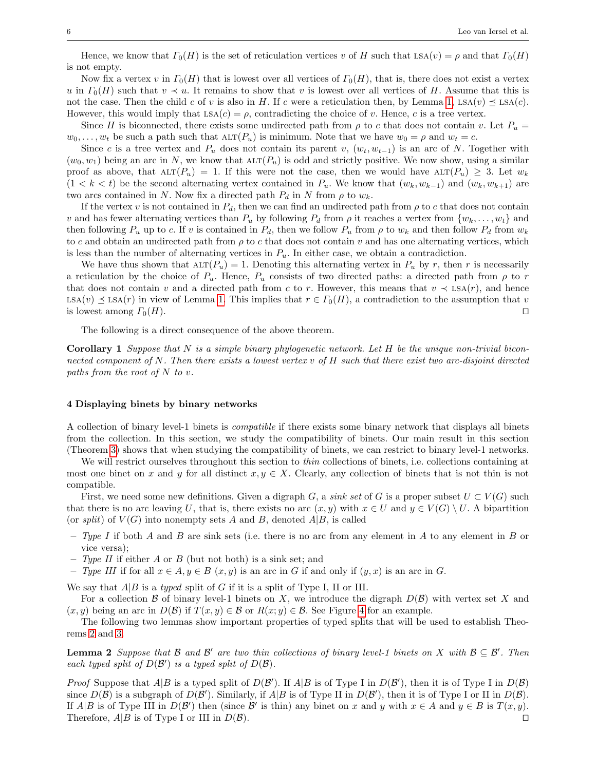Hence, we know that  $\Gamma_0(H)$  is the set of reticulation vertices v of H such that LSA(v) = ρ and that  $\Gamma_0(H)$ is not empty.

Now fix a vertex v in  $\Gamma_0(H)$  that is lowest over all vertices of  $\Gamma_0(H)$ , that is, there does not exist a vertex u in  $\Gamma_0(H)$  such that  $v \prec u$ . It remains to show that v is lowest over all vertices of H. Assume that this is not the case. Then the child c of v is also in H. If c were a reticulation then, by Lemma [1,](#page-3-0)  $LSA(v) \preceq LSA(c)$ . However, this would imply that  $LSA(c) = \rho$ , contradicting the choice of v. Hence, c is a tree vertex.

Since H is biconnected, there exists some undirected path from  $\rho$  to c that does not contain v. Let  $P_u$  $w_0, \ldots, w_t$  be such a path such that  $\text{ALT}(P_u)$  is minimum. Note that we have  $w_0 = \rho$  and  $w_t = c$ .

Since c is a tree vertex and  $P_u$  does not contain its parent v,  $(w_t, w_{t-1})$  is an arc of N. Together with  $(w_0, w_1)$  being an arc in N, we know that  $\text{ALT}(P_u)$  is odd and strictly positive. We now show, using a similar proof as above, that  $\text{ALT}(P_u) = 1$ . If this were not the case, then we would have  $\text{ALT}(P_u) \geq 3$ . Let  $w_k$  $(1 < k < t)$  be the second alternating vertex contained in  $P_u$ . We know that  $(w_k, w_{k-1})$  and  $(w_k, w_{k+1})$  are two arcs contained in N. Now fix a directed path  $P_d$  in N from  $\rho$  to  $w_k$ .

If the vertex v is not contained in  $P_d$ , then we can find an undirected path from  $\rho$  to c that does not contain v and has fewer alternating vertices than  $P_u$  by following  $P_d$  from  $\rho$  it reaches a vertex from  $\{w_k, \ldots, w_t\}$  and then following  $P_u$  up to c. If v is contained in  $P_d$ , then we follow  $P_u$  from  $\rho$  to  $w_k$  and then follow  $P_d$  from  $w_k$ to c and obtain an undirected path from  $\rho$  to c that does not contain v and has one alternating vertices, which is less than the number of alternating vertices in  $P_u$ . In either case, we obtain a contradiction.

We have thus shown that  $\text{ALT}(P_u) = 1$ . Denoting this alternating vertex in  $P_u$  by r, then r is necessarily a reticulation by the choice of  $P_u$ . Hence,  $P_u$  consists of two directed paths: a directed path from  $\rho$  to r that does not contain v and a directed path from c to r. However, this means that  $v \prec$  LSA(r), and hence LSA(v)  $\preceq$  LSA(r) in view of Lemma [1.](#page-3-0) This implies that  $r \in \Gamma_0(H)$ , a contradiction to the assumption that v is lowest among  $\Gamma_0(H)$ . is lowest among  $\Gamma_0(H)$ .

The following is a direct consequence of the above theorem.

<span id="page-5-0"></span>**Corollary 1** Suppose that  $N$  is a simple binary phylogenetic network. Let  $H$  be the unique non-trivial biconnected component of N. Then there exists a lowest vertex v of H such that there exist two arc-disjoint directed paths from the root of  $N$  to  $v$ .

#### <span id="page-5-1"></span>4 Displaying binets by binary networks

A collection of binary level-1 binets is compatible if there exists some binary network that displays all binets from the collection. In this section, we study the compatibility of binets. Our main result in this section (Theorem [3\)](#page-7-0) shows that when studying the compatibility of binets, we can restrict to binary level-1 networks.

We will restrict ourselves throughout this section to *thin* collections of binets, i.e. collections containing at most one binet on x and y for all distinct  $x, y \in X$ . Clearly, any collection of binets that is not thin is not compatible.

First, we need some new definitions. Given a digraph G, a sink set of G is a proper subset  $U \subset V(G)$  such that there is no arc leaving U, that is, there exists no arc  $(x, y)$  with  $x \in U$  and  $y \in V(G) \setminus U$ . A bipartition (or split) of  $V(G)$  into nonempty sets A and B, denoted  $A|B$ , is called

- Type I if both A and B are sink sets (i.e. there is no arc from any element in A to any element in B or vice versa);
- Type II if either A or B (but not both) is a sink set; and
- Type III if for all  $x \in A, y \in B$   $(x, y)$  is an arc in G if and only if  $(y, x)$  is an arc in G.

We say that  $A|B$  is a typed split of G if it is a split of Type I, II or III.

For a collection  $\mathcal B$  of binary level-1 binets on X, we introduce the digraph  $D(\mathcal B)$  with vertex set X and  $(x, y)$  being an arc in  $D(\mathcal{B})$  if  $T(x, y) \in \mathcal{B}$  or  $R(x, y) \in \mathcal{B}$ . See Figure [4](#page-6-0) for an example.

The following two lemmas show important properties of typed splits that will be used to establish Theorems [2](#page-6-1) and [3.](#page-7-0)

<span id="page-5-2"></span>**Lemma 2** Suppose that  $\mathcal{B}$  and  $\mathcal{B}'$  are two thin collections of binary level-1 binets on  $X$  with  $\mathcal{B} \subseteq \mathcal{B}'$ . Then each typed split of  $D(\mathcal{B}')$  is a typed split of  $D(\mathcal{B})$ .

*Proof* Suppose that  $A|B$  is a typed split of  $D(\mathcal{B}')$ . If  $A|B$  is of Type I in  $D(\mathcal{B}')$ , then it is of Type I in  $D(\mathcal{B})$ since  $D(\mathcal{B})$  is a subgraph of  $D(\mathcal{B}')$ . Similarly, if  $A|B$  is of Type II in  $D(\mathcal{B}')$ , then it is of Type I or II in  $D(\mathcal{B})$ . If  $A|B$  is of Type III in  $D(\mathcal{B}')$  then (since  $\mathcal{B}'$  is thin) any binet on x and y with  $x \in A$  and  $y \in B$  is  $T(x, y)$ . Therefore,  $A|B$  is of Type I or III in  $D(B)$ .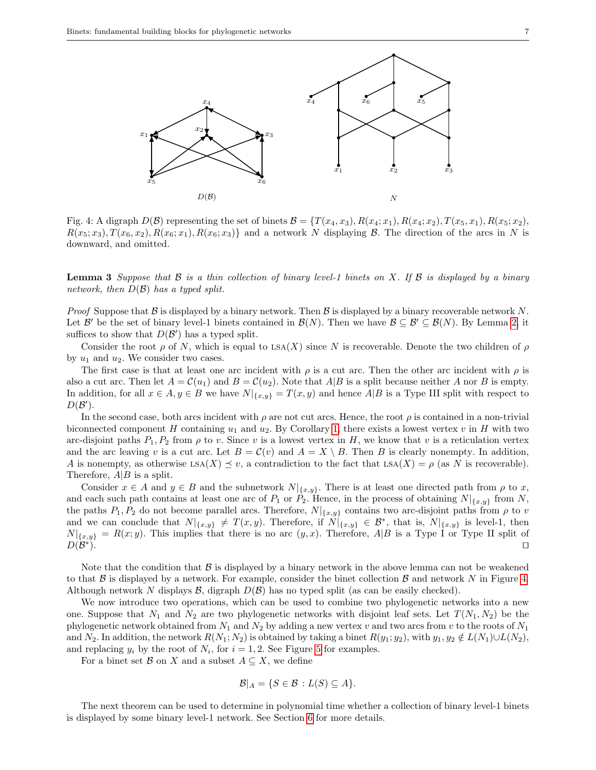<span id="page-6-0"></span>

Fig. 4: A digraph  $D(\mathcal{B})$  representing the set of binets  $\mathcal{B} = \{T(x_4, x_3), R(x_4; x_1), R(x_4; x_2), T(x_5, x_1), R(x_5; x_2),$  $R(x_5; x_3), T(x_6, x_2), R(x_6; x_1), R(x_6; x_3)$  and a network N displaying B. The direction of the arcs in N is downward, and omitted. downward, and omitted.

<span id="page-6-2"></span>**Lemma 3** Suppose that  $\beta$  is a thin collection of binary level-1 binets on X. If  $\beta$  is displayed by a binary network, then  $D(\mathcal{B})$  has a typed split.

*Proof* Suppose that  $\beta$  is displayed by a binary network. Then  $\beta$  is displayed by a binary recoverable network N. Let  $\mathcal{B}'$  be the set of binary level-1 binets contained in  $\mathcal{B}(N)$ . Then we have  $\mathcal{B} \subseteq \mathcal{B}' \subseteq \mathcal{B}(N)$ . By Lemma [2,](#page-5-2) it suffices to show that  $D(\mathcal{B}')$  has a typed split.

Consider the root  $\rho$  of N, which is equal to LSA(X) since N is recoverable. Denote the two children of  $\rho$ by  $u_1$  and  $u_2$ . We consider two cases.

The first case is that at least one arc incident with  $\rho$  is a cut arc. Then the other arc incident with  $\rho$  is also a cut arc. Then let  $A = C(u_1)$  and  $B = C(u_2)$ . Note that  $A|B$  is a split because neither A nor B is empty. In addition, for all  $x \in A, y \in B$  we have  $N|_{\{x,y\}} = T(x,y)$  and hence  $A|B$  is a Type III split with respect to  $D(\mathcal{B}')$ .

In the second case, both arcs incident with  $\rho$  are not cut arcs. Hence, the root  $\rho$  is contained in a non-trivial biconnected component H containing  $u_1$  and  $u_2$ . By Corollary [1,](#page-5-0) there exists a lowest vertex v in H with two arc-disjoint paths  $P_1, P_2$  from  $\rho$  to v. Since v is a lowest vertex in H, we know that v is a reticulation vertex and the arc leaving v is a cut arc. Let  $B = C(v)$  and  $A = X \setminus B$ . Then B is clearly nonempty. In addition, A is nonempty, as otherwise  $\text{LSA}(X) \leq v$ , a contradiction to the fact that  $\text{LSA}(X) = \rho$  (as N is recoverable). Therefore,  $A|B$  is a split.

Consider  $x \in A$  and  $y \in B$  and the subnetwork  $N|_{\{x,y\}}$ . There is at least one directed path from  $\rho$  to x, and each such path contains at least one arc of  $P_1$  or  $P_2$ . Hence, in the process of obtaining  $N|_{\{x,y\}}$  from N, the paths  $P_1, P_2$  do not become parallel arcs. Therefore,  $N|_{\{x,y\}}$  contains two arc-disjoint paths from  $\rho$  to v and we can conclude that  $N|_{\{x,y\}} \neq T(x,y)$ . Therefore, if  $N|_{\{x,y\}} \in \mathcal{B}^*$ , that is,  $N|_{\{x,y\}}$  is level-1, then  $N|_{\{x,y\}} = R(x,y)$ . This implies that there is no arc  $(y,x)$ . Therefore, A|B is a Type I or Type II split of  $D(\mathcal{B}^*).$ the paths  $P_1, P_2$  do not become parallel arcs. Therefore,  $N|_{\{x,y\}}$  contains two arc-disjoint paths from  $\rho$  to v and we can conclude that  $N|_{\{x,y\}} \neq T(x,y)$ . Therefore, if  $N|_{\{x,y\}} \in \mathcal{B}^*$ , that is,  $N|_{\{x,y\}}$  is level-1, then  $D(\mathcal{B}^*)$ ).  $\Box$ 

Note that the condition that  $\beta$  is displayed by a binary network in the above lemma can not be weakened to that  $\beta$  is displayed by a network. For example, consider the binet collection  $\beta$  and network N in Figure [4.](#page-6-0) Although network N displays  $\mathcal{B}$ , digraph  $D(\mathcal{B})$  has no typed split (as can be easily checked).

We now introduce two operations, which can be used to combine two phylogenetic networks into a new We now introduce two operations, which can be used to combine two phylogenetic networks into a new one. Suppose that  $N_1$  and  $N_2$  are two phylogenetic networks with disjoint leaf sets. Let  $T(N_1, N_2)$  be the phylogenetic network obtained from  $N_1$  and  $N_2$  by adding a new vertex v and two arcs from v to the roots of  $N_1$ and  $N_2$ . In addition, the network  $R(N_1; N_2)$  is obtained by taking a binet  $R(y_1; y_2)$ , with  $y_1, y_2 \notin L(N_1) \cup L(N_2)$ , and replacing  $y_i$  by the root of  $N_i$ , for  $i = 1, 2$ . See Figure [5](#page-7-2) for examples.

For a binet set  $\mathcal{B}$  on X and a subset  $A \subseteq X$ , we define

$$
\mathcal{B}|_A = \{S \in \mathcal{B} : L(S) \subseteq A\}.
$$

<span id="page-6-1"></span>The next theorem can be used to determine in polynomial time whether a collection of binary level-1 binets is displayed by some binary level-1 network. See Section 6 for more details. is displayed by some binary level-1 network. See Section [6](#page-9-0) for more details.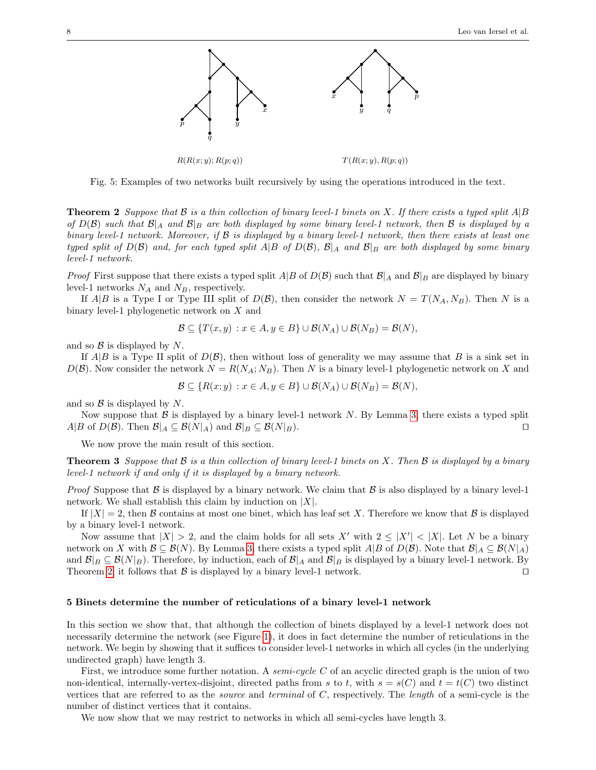<span id="page-7-2"></span>

Fig. 5: Examples of two networks built recursively by using the operations introduced in the text.

**Theorem 2** Suppose that  $\mathcal B$  is a thin collection of binary level-1 binets on X. If there exists a typed split  $A|B$ of  $D(\mathcal{B})$  such that  $\mathcal{B}|_A$  and  $\mathcal{B}|_B$  are both displayed by some binary level-1 network, then  $\mathcal B$  is displayed by a binary level-1 network. Moreover, if B is displayed by a binary level-1 network, then there exists at least one typed split of  $D(\mathcal{B})$  and, for each typed split A|B of  $D(\mathcal{B})$ ,  $\mathcal{B}|_A$  and  $\mathcal{B}|_B$  are both displayed by some binary level-1 network.

*Proof* First suppose that there exists a typed split  $A|B$  of  $D(\mathcal{B})$  such that  $\mathcal{B}|_A$  and  $\mathcal{B}|_B$  are displayed by binary level-1 networks  $N_A$  and  $N_B$ , respectively.

If  $A|B$  is a Type I or Type III split of  $D(\mathcal{B})$ , then consider the network  $N = T(N_A, N_B)$ . Then N is a binary level-1 phylogenetic network on X and

$$
\mathcal{B} \subseteq \{T(x,y) : x \in A, y \in B\} \cup \mathcal{B}(N_A) \cup \mathcal{B}(N_B) = \mathcal{B}(N),
$$

and so  $\beta$  is displayed by N.

If  $A|B$  is a Type II split of  $D(\mathcal{B})$ , then without loss of generality we may assume that B is a sink set in  $D(\mathcal{B})$ . Now consider the network  $N = R(N_A; N_B)$ . Then N is a binary level-1 phylogenetic network on X and

$$
\mathcal{B} \subseteq \{R(x; y) : x \in A, y \in B\} \cup \mathcal{B}(N_A) \cup \mathcal{B}(N_B) = \mathcal{B}(N),
$$

and so  $\beta$  is displayed by N.

Now suppose that  $\mathcal B$  is displayed by a binary level-1 network N. By Lemma [3,](#page-6-2) there exists a typed split  $B \circ B(D(\mathcal B))$ . Then  $\mathcal B|_A \subseteq \mathcal B(N|_A)$  and  $\mathcal B|_B \subseteq \mathcal B(N|_B)$ .  $A|B$  of  $D(\mathcal{B})$ . Then  $\mathcal{B}|_A \subseteq \mathcal{B}(N|_A)$  and  $\mathcal{B}|_B \subseteq \mathcal{B}(N|_B)$ .

We now prove the main result of this section.

<span id="page-7-0"></span>**Theorem 3** Suppose that  $\beta$  is a thin collection of binary level-1 binets on X. Then  $\beta$  is displayed by a binary level-1 network if and only if it is displayed by a binary network.

*Proof* Suppose that  $\beta$  is displayed by a binary network. We claim that  $\beta$  is also displayed by a binary level-1 network. We shall establish this claim by induction on  $|X|$ .

If  $|X| = 2$ , then B contains at most one binet, which has leaf set X. Therefore we know that B is displayed by a binary level-1 network.

Now assume that  $|X| > 2$ , and the claim holds for all sets X' with  $2 \leq |X'| < |X|$ . Let N be a binary network on X with  $\mathcal{B} \subseteq \mathcal{B}(N)$ . By Lemma [3,](#page-6-2) there exists a typed split  $A|B$  of  $D(\mathcal{B})$ . Note that  $\mathcal{B}|_A \subseteq \mathcal{B}(N|_A)$ and  $\mathcal{B}|_B \subseteq \mathcal{B}(N|_B)$ . Therefore, by induction, each of  $\mathcal{B}|_A$  and  $\mathcal{B}|_B$  is displayed by a binary level-1 network. By Theorem 2, it follows that  $\mathcal{B}$  is displayed by a binary level-1 network. Theorem [2,](#page-6-1) it follows that  $\beta$  is displayed by a binary level-1 network.

#### <span id="page-7-1"></span>5 Binets determine the number of reticulations of a binary level-1 network

In this section we show that, that although the collection of binets displayed by a level-1 network does not necessarily determine the network (see Figure [1\)](#page-1-0), it does in fact determine the number of reticulations in the network. We begin by showing that it suffices to consider level-1 networks in which all cycles (in the underlying undirected graph) have length 3.

First, we introduce some further notation. A *semi-cycle C* of an acyclic directed graph is the union of two non-identical, internally-vertex-disjoint, directed paths from s to t, with  $s = s(C)$  and  $t = t(C)$  two distinct vertices that are referred to as the source and terminal of C, respectively. The length of a semi-cycle is the number of distinct vertices that it contains.

<span id="page-7-3"></span>We now show that we may restrict to networks in which all semi-cycles have length 3.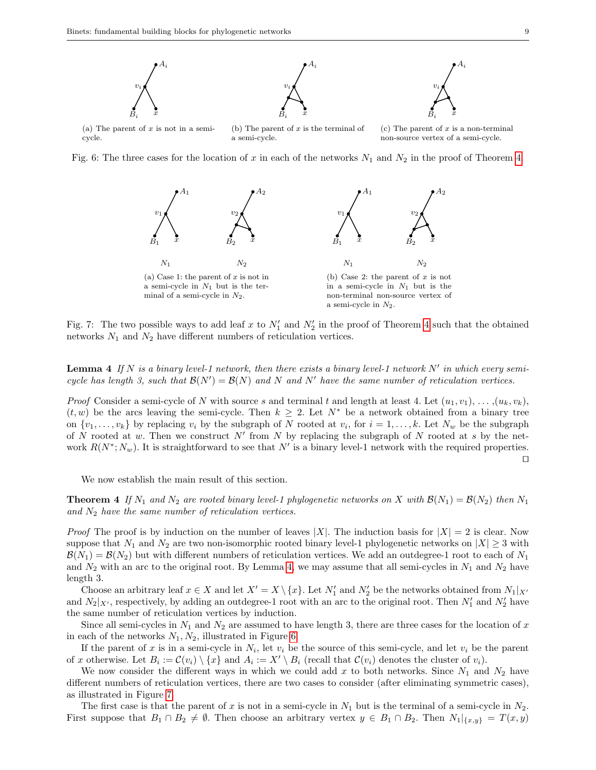<span id="page-8-1"></span>

<span id="page-8-2"></span>Fig. 6: The three cases for the location of x in each of the networks  $N_1$  and  $N_2$  in the proof of Theorem [4.](#page-8-0)



Fig. 7: The two possible ways to add leaf x to  $N'_1$  and  $N'_2$  in the proof of Theorem [4](#page-8-0) such that the obtained networks  $N_1$  and  $N_2$  have different numbers of reticulation vertices.

**Lemma 4** If N is a binary level-1 network, then there exists a binary level-1 network N' in which every semicycle has length 3, such that  $\mathcal{B}(N') = \mathcal{B}(N)$  and  $N'$  have the same number of reticulation vertices.

*Proof* Consider a semi-cycle of N with source s and terminal t and length at least 4. Let  $(u_1, v_1), \ldots, (u_k, v_k)$ ,  $(t, w)$  be the arcs leaving the semi-cycle. Then  $k \geq 2$ . Let  $N^*$  be a network obtained from a binary tree on  $\{v_1, \ldots, v_k\}$  by replacing  $v_i$  by the subgraph of N rooted at  $v_i$ , for  $i = 1, \ldots, k$ . Let  $N_w$  be the subgraph of N rooted at w. Then we construct N' from N by replacing the subgraph of N rooted at s by the network  $R(N^*; N_w)$ . It is straightforward to see that  $N'$  is a binary level-1 network with the required properties.  $\Box$ 

We now establish the main result of this section.

<span id="page-8-0"></span>**Theorem 4** If  $N_1$  and  $N_2$  are rooted binary level-1 phylogenetic networks on X with  $\mathcal{B}(N_1) = \mathcal{B}(N_2)$  then  $N_1$ and  $N_2$  have the same number of reticulation vertices.

*Proof* The proof is by induction on the number of leaves |X|. The induction basis for  $|X| = 2$  is clear. Now suppose that  $N_1$  and  $N_2$  are two non-isomorphic rooted binary level-1 phylogenetic networks on  $|X| \geq 3$  with  $\mathcal{B}(N_1) = \mathcal{B}(N_2)$  but with different numbers of reticulation vertices. We add an outdegree-1 root to each of  $N_1$ and  $N_2$  with an arc to the original root. By Lemma [4,](#page-7-3) we may assume that all semi-cycles in  $N_1$  and  $N_2$  have length 3.

Choose an arbitrary leaf  $x \in X$  and let  $X' = X \setminus \{x\}$ . Let  $N'_1$  and  $N'_2$  be the networks obtained from  $N_1|_{X'}$ and  $N_2|_{X'}$ , respectively, by adding an outdegree-1 root with an arc to the original root. Then  $N'_1$  and  $N'_2$  have the same number of reticulation vertices by induction.

Since all semi-cycles in  $N_1$  and  $N_2$  are assumed to have length 3, there are three cases for the location of x in each of the networks  $N_1, N_2$ , illustrated in Figure [6.](#page-8-1)

If the parent of x is in a semi-cycle in  $N_i$ , let  $v_i$  be the source of this semi-cycle, and let  $v_i$  be the parent of x otherwise. Let  $B_i := C(v_i) \setminus \{x\}$  and  $A_i := X' \setminus B_i$  (recall that  $C(v_i)$  denotes the cluster of  $v_i$ ).

We now consider the different ways in which we could add x to both networks. Since  $N_1$  and  $N_2$  have different numbers of reticulation vertices, there are two cases to consider (after eliminating symmetric cases), as illustrated in Figure [7.](#page-8-2)

The first case is that the parent of x is not in a semi-cycle in  $N_1$  but is the terminal of a semi-cycle in  $N_2$ . First suppose that  $B_1 \cap B_2 \neq \emptyset$ . Then choose an arbitrary vertex  $y \in B_1 \cap B_2$ . Then  $N_1|_{\{x,y\}} = T(x,y)$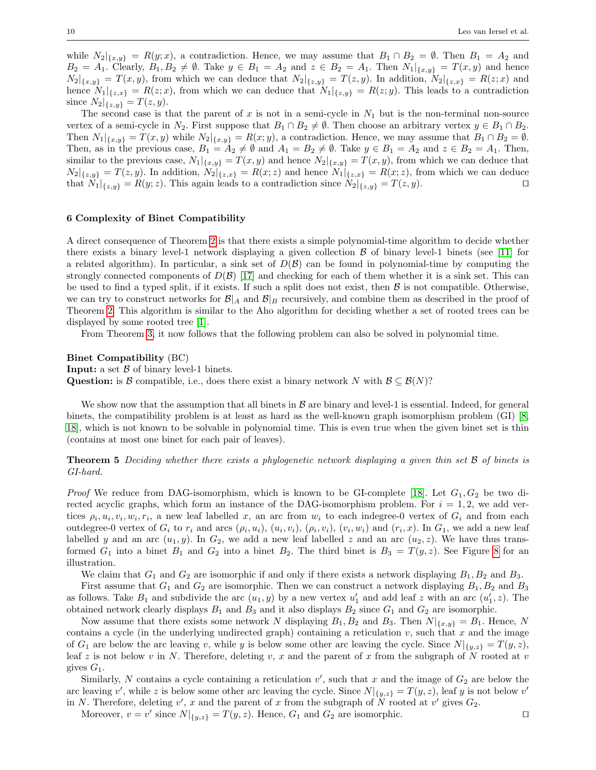while  $N_2|_{\{x,y\}} = R(y;x)$ , a contradiction. Hence, we may assume that  $B_1 \cap B_2 = \emptyset$ . Then  $B_1 = A_2$  and  $B_2 = A_1$ . Clearly,  $B_1, B_2 \neq \emptyset$ . Take  $y \in B_1 = A_2$  and  $z \in B_2 = A_1$ . Then  $N_1|_{\{x,y\}} = T(x,y)$  and hence  $N_2|_{\{x,y\}} = T(x,y)$ , from which we can deduce that  $N_2|_{\{z,y\}} = T(z,y)$ . In addition,  $N_2|_{\{z,x\}} = R(z;x)$  and hence  $N_1|_{\{z,x\}} = R(z;x)$ , from which we can deduce that  $N_1|_{\{z,y\}} = R(z;y)$ . This leads to a contradiction since  $N_2|_{\{z,y\}} = T(z,y)$ .

The second case is that the parent of x is not in a semi-cycle in  $N_1$  but is the non-terminal non-source vertex of a semi-cycle in N<sub>2</sub>. First suppose that  $B_1 \cap B_2 \neq \emptyset$ . Then choose an arbitrary vertex  $y \in B_1 \cap B_2$ . Then  $N_1|_{\{x,y\}} = T(x,y)$  while  $N_2|_{\{x,y\}} = R(x,y)$ , a contradiction. Hence, we may assume that  $B_1 \cap B_2 = \emptyset$ . Then, as in the previous case,  $B_1 = A_2 \neq \emptyset$  and  $A_1 = B_2 \neq \emptyset$ . Take  $y \in B_1 = A_2$  and  $z \in B_2 = A_1$ . Then, similar to the previous case,  $N_1|_{\{x,y\}} = T(x,y)$  and hence  $N_2|_{\{x,y\}} = T(x,y)$ , from which we can deduce that  $N_2|_{\{z,y\}} = T(z,y)$ . In addition,  $N_2|_{\{z,x\}} = R(x;z)$  and hence  $N_1|_{\{z,x\}} = R(x;z)$ , from which we can deduce that  $N_1|_{\{z,u\}} = R(y;z)$ . This again leads to a contradiction since  $N_2|_{\{z,u\}} = T(z,y)$ . that  $N_1|_{\{z,y\}} = R(y;z)$ . This again leads to a contradiction since  $N_2|_{\{z,y\}} = T(z,y)$ .

## <span id="page-9-0"></span>6 Complexity of Binet Compatibility

A direct consequence of Theorem [2](#page-6-1) is that there exists a simple polynomial-time algorithm to decide whether there exists a binary level-1 network displaying a given collection  $\beta$  of binary level-1 binets (see [\[11\]](#page-13-3) for a related algorithm). In particular, a sink set of  $D(\mathcal{B})$  can be found in polynomial-time by computing the strongly connected components of  $D(\mathcal{B})$  [\[17\]](#page-13-5) and checking for each of them whether it is a sink set. This can be used to find a typed split, if it exists. If such a split does not exist, then  $\beta$  is not compatible. Otherwise, we can try to construct networks for  $\mathcal{B}|_A$  and  $\mathcal{B}|_B$  recursively, and combine them as described in the proof of Theorem [2.](#page-6-1) This algorithm is similar to the Aho algorithm for deciding whether a set of rooted trees can be displayed by some rooted tree [\[1\]](#page-12-5).

From Theorem [3,](#page-7-0) it now follows that the following problem can also be solved in polynomial time.

Binet Compatibility (BC) **Input:** a set  $\beta$  of binary level-1 binets. Question: is B compatible, i.e., does there exist a binary network N with  $\mathcal{B} \subseteq \mathcal{B}(N)$ ?

We show now that the assumption that all binets in  $\beta$  are binary and level-1 is essential. Indeed, for general binets, the compatibility problem is at least as hard as the well-known graph isomorphism problem (GI) [\[8,](#page-12-6) [18\]](#page-13-6), which is not known to be solvable in polynomial time. This is even true when the given binet set is thin (contains at most one binet for each pair of leaves).

<span id="page-9-1"></span>**Theorem 5** Deciding whether there exists a phylogenetic network displaying a given thin set B of binets is GI-hard.

*Proof* We reduce from DAG-isomorphism, which is known to be GI-complete [\[18\]](#page-13-6). Let  $G_1, G_2$  be two directed acyclic graphs, which form an instance of the DAG-isomorphism problem. For  $i = 1, 2$ , we add vertices  $\rho_i, u_i, v_i, w_i, r_i$ , a new leaf labelled x, an arc from  $w_i$  to each indegree-0 vertex of  $G_i$  and from each outdegree-0 vertex of  $G_i$  to  $r_i$  and arcs  $(\rho_i, u_i)$ ,  $(u_i, v_i)$ ,  $(\rho_i, v_i)$ ,  $(v_i, w_i)$  and  $(r_i, x)$ . In  $G_1$ , we add a new leaf labelled y and an arc  $(u_1, y)$ . In  $G_2$ , we add a new leaf labelled z and an arc  $(u_2, z)$ . We have thus transformed  $G_1$  into a binet  $B_1$  and  $G_2$  into a binet  $B_2$ . The third binet is  $B_3 = T(y, z)$ . See Figure [8](#page-10-1) for an illustration.

We claim that  $G_1$  and  $G_2$  are isomorphic if and only if there exists a network displaying  $B_1, B_2$  and  $B_3$ .

First assume that  $G_1$  and  $G_2$  are isomorphic. Then we can construct a network displaying  $B_1, B_2$  and  $B_3$ as follows. Take  $B_1$  and subdivide the arc  $(u_1, y)$  by a new vertex  $u'_1$  and add leaf z with an arc  $(u'_1, z)$ . The obtained network clearly displays  $B_1$  and  $B_3$  and it also displays  $B_2$  since  $G_1$  and  $G_2$  are isomorphic.

Now assume that there exists some network N displaying  $B_1, B_2$  and  $B_3$ . Then  $N|_{\{x,y\}} = B_1$ . Hence, N contains a cycle (in the underlying undirected graph) containing a reticulation  $v$ , such that  $x$  and the image of  $G_1$  are below the arc leaving v, while y is below some other arc leaving the cycle. Since  $N|_{\{y,z\}} = T(y,z)$ , leaf z is not below v in N. Therefore, deleting v, x and the parent of x from the subgraph of N rooted at v gives  $G_1$ .

Similarly, N contains a cycle containing a reticulation  $v'$ , such that x and the image of  $G_2$  are below the arc leaving v', while z is below some other arc leaving the cycle. Since  $N|_{\{y,z\}} = T(y,z)$ , leaf y is not below v' in N. Therefore, deleting  $v'$ , x and the parent of x from the subgraph of N rooted at  $v'$  gives  $G_2$ .

Moreover,  $v = v'$  since  $N|_{\{y,z\}} = T(y,z)$ . Hence,  $G_1$  and  $G_2$  are isomorphic.  $\square$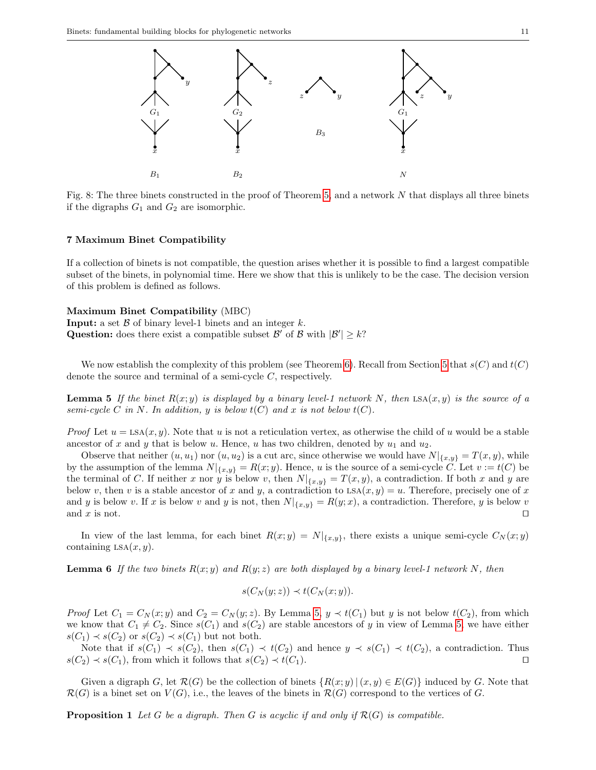<span id="page-10-1"></span>

Fig. 8: The three binets constructed in the proof of Theorem [5,](#page-9-1) and a network N that displays all three binets if the digraphs  $G_1$  and  $G_2$  are isomorphic.

## <span id="page-10-0"></span>7 Maximum Binet Compatibility

If a collection of binets is not compatible, the question arises whether it is possible to find a largest compatible subset of the binets, in polynomial time. Here we show that this is unlikely to be the case. The decision version of this problem is defined as follows.

## Maximum Binet Compatibility (MBC)

**Input:** a set  $\beta$  of binary level-1 binets and an integer k. **Question:** does there exist a compatible subset  $\mathcal{B}'$  of  $\mathcal{B}$  with  $|\mathcal{B}'| \geq k$ ?

We now establish the complexity of this problem (see Theorem [6\)](#page-11-0). Recall from Section [5](#page-7-1) that  $s(C)$  and  $t(C)$ denote the source and terminal of a semi-cycle C, respectively.

<span id="page-10-2"></span>**Lemma 5** If the binet  $R(x; y)$  is displayed by a binary level-1 network N, then  $LSA(x, y)$  is the source of a semi-cycle C in N. In addition, y is below  $t(C)$  and x is not below  $t(C)$ .

*Proof* Let  $u = \text{LSA}(x, y)$ . Note that u is not a reticulation vertex, as otherwise the child of u would be a stable ancestor of x and y that is below u. Hence, u has two children, denoted by  $u_1$  and  $u_2$ .

Observe that neither  $(u, u_1)$  nor  $(u, u_2)$  is a cut arc, since otherwise we would have  $N|_{\{x, y\}} = T(x, y)$ , while by the assumption of the lemma  $N|_{\{x,y\}} = R(x,y)$ . Hence, u is the source of a semi-cycle C. Let  $v := t(C)$  be the terminal of C. If neither x nor y is below v, then  $N|_{\{x,y\}} = T(x,y)$ , a contradiction. If both x and y are below v, then v is a stable ancestor of x and y, a contradiction to  $LSA(x, y) = u$ . Therefore, precisely one of x and y is below v. If x is below v and y is not, then  $N|_{\{x,y\}} = R(y;x)$ , a contradiction. Therefore, y is below v and x is not. and x is not.  $\square$ 

In view of the last lemma, for each binet  $R(x; y) = N|_{\{x,y\}}$ , there exists a unique semi-cycle  $C_N(x; y)$ containing  $LSA(x, y)$ .

<span id="page-10-3"></span>**Lemma 6** If the two binets  $R(x; y)$  and  $R(y; z)$  are both displayed by a binary level-1 network N, then

$$
s(C_N(y; z)) \prec t(C_N(x; y)).
$$

*Proof* Let  $C_1 = C_N(x; y)$  and  $C_2 = C_N(y; z)$ . By Lemma [5,](#page-10-2)  $y \prec t(C_1)$  but y is not below  $t(C_2)$ , from which we know that  $C_1 \neq C_2$ . Since  $s(C_1)$  and  $s(C_2)$  are stable ancestors of y in view of Lemma [5,](#page-10-2) we have either  $s(C_1) \prec s(C_2)$  or  $s(C_2) \prec s(C_1)$  but not both.

Note that if  $s(C_1) \prec s(C_2)$ , then  $s(C_1) \prec t(C_2)$  and hence  $y \prec s(C_1) \prec t(C_2)$ , a contradiction. Thus  $s(C_2) \prec s(C_1)$ , from which it follows that  $s(C_2) \prec t(C_1)$ .  $s(C_2) \prec s(C_1)$ , from which it follows that  $s(C_2) \prec t(C_1)$ .

Given a digraph G, let  $\mathcal{R}(G)$  be the collection of binets  $\{R(x; y) | (x, y) \in E(G)\}$  induced by G. Note that  $\mathcal{R}(G)$  is a binet set on  $V(G)$ , i.e., the leaves of the binets in  $\mathcal{R}(G)$  correspond to the vertices of G.

<span id="page-10-4"></span>**Proposition 1** Let G be a digraph. Then G is acyclic if and only if  $\mathcal{R}(G)$  is compatible.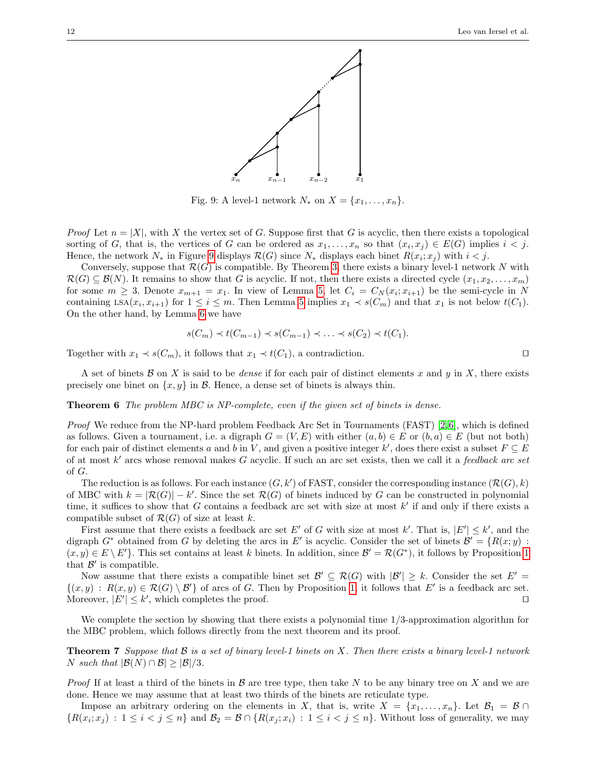<span id="page-11-2"></span>

Fig. 9: A level-1 network  $N_*$  on  $X = \{x_1, \ldots, x_n\}.$ 

*Proof* Let  $n = |X|$ , with X the vertex set of G. Suppose first that G is acyclic, then there exists a topological sorting of G, that is, the vertices of G can be ordered as  $x_1, \ldots, x_n$  so that  $(x_i, x_j) \in E(G)$  implies  $i < j$ . Hence, the network  $N_*$  in Figure [9](#page-11-2) displays  $\mathcal{R}(G)$  since  $N_*$  displays each binet  $R(x_i; x_j)$  with  $i < j$ .

Conversely, suppose that  $\mathcal{R}(G)$  is compatible. By Theorem [3,](#page-7-0) there exists a binary level-1 network N with  $\mathcal{R}(G) \subset \mathcal{B}(N)$ . It remains to show that G is acyclic. If not, then there exists a directed cycle  $(x_1, x_2, \ldots, x_m)$ for some  $m \geq 3$ . Denote  $x_{m+1} = x_1$ . In view of Lemma [5,](#page-10-2) let  $C_i = C_N(x_i; x_{i+1})$  be the semi-cycle in N containing  $\text{LSA}(x_i, x_{i+1})$  for  $1 \leq i \leq m$ . Then Lemma [5](#page-10-2) implies  $x_1 \prec s(C_m)$  and that  $x_1$  is not below  $t(C_1)$ . On the other hand, by Lemma [6](#page-10-3) we have

$$
s(C_m) \prec t(C_{m-1}) \prec s(C_{m-1}) \prec \ldots \prec s(C_2) \prec t(C_1).
$$

Together with  $x_1 \prec s(C_m)$ , it follows that  $x_1 \prec t(C_1)$ , a contradiction.

A set of binets  $\mathcal B$  on X is said to be *dense* if for each pair of distinct elements x and y in X, there exists precisely one binet on  $\{x, y\}$  in B. Hence, a dense set of binets is always thin.

## <span id="page-11-0"></span>Theorem 6 The problem MBC is NP-complete, even if the given set of binets is dense.

Proof We reduce from the NP-hard problem Feedback Arc Set in Tournaments (FAST) [\[2,](#page-12-7) [6\]](#page-12-8), which is defined as follows. Given a tournament, i.e. a digraph  $G = (V, E)$  with either  $(a, b) \in E$  or  $(b, a) \in E$  (but not both) for each pair of distinct elements a and b in V, and given a positive integer k', does there exist a subset  $F \subseteq E$ of at most  $k'$  arcs whose removal makes G acyclic. If such an arc set exists, then we call it a *feedback arc set* of G.

The reduction is as follows. For each instance  $(G, k')$  of FAST, consider the corresponding instance  $(\mathcal{R}(G), k)$ of MBC with  $k = |\mathcal{R}(G)| - k'$ . Since the set  $\mathcal{R}(G)$  of binets induced by G can be constructed in polynomial time, it suffices to show that G contains a feedback arc set with size at most  $k'$  if and only if there exists a compatible subset of  $\mathcal{R}(G)$  of size at least k.

First assume that there exists a feedback arc set E' of G with size at most k'. That is,  $|E'| \leq k'$ , and the digraph  $G^*$  obtained from G by deleting the arcs in E' is acyclic. Consider the set of binets  $\mathcal{B}' = \{R(x; y) :$  $(x, y) \in E \setminus E'$ . This set contains at least k binets. In addition, since  $\mathcal{B}' = \mathcal{R}(G^*)$ , it follows by Proposition [1](#page-10-4) that  $\mathcal{B}'$  is compatible.

Now assume that there exists a compatible binet set  $\mathcal{B}' \subseteq \mathcal{R}(G)$  with  $|\mathcal{B}'| \geq k$ . Consider the set  $E' =$  $\{(x,y) : R(x,y) \in \mathcal{R}(G) \setminus \mathcal{B}'\}$  of arcs of G. Then by Proposition [1,](#page-10-4) it follows that E' is a feedback arc set. Moreover,  $|E'| \leq k'$ , which completes the proof.

We complete the section by showing that there exists a polynomial time  $1/3$ -approximation algorithm for the MBC problem, which follows directly from the next theorem and its proof.

<span id="page-11-1"></span>**Theorem 7** Suppose that  $\mathcal B$  is a set of binary level-1 binets on X. Then there exists a binary level-1 network *N* such that  $|\mathcal{B}(N) \cap \mathcal{B}| \geq |\mathcal{B}|/3$ .

*Proof* If at least a third of the binets in  $\beta$  are tree type, then take N to be any binary tree on X and we are done. Hence we may assume that at least two thirds of the binets are reticulate type.

Impose an arbitrary ordering on the elements in X, that is, write  $X = \{x_1, \ldots, x_n\}$ . Let  $\mathcal{B}_1 = \mathcal{B} \cap$  $\{R(x_i; x_j) : 1 \leq i < j \leq n\}$  and  $\mathcal{B}_2 = \mathcal{B} \cap \{R(x_j; x_i) : 1 \leq i < j \leq n\}$ . Without loss of generality, we may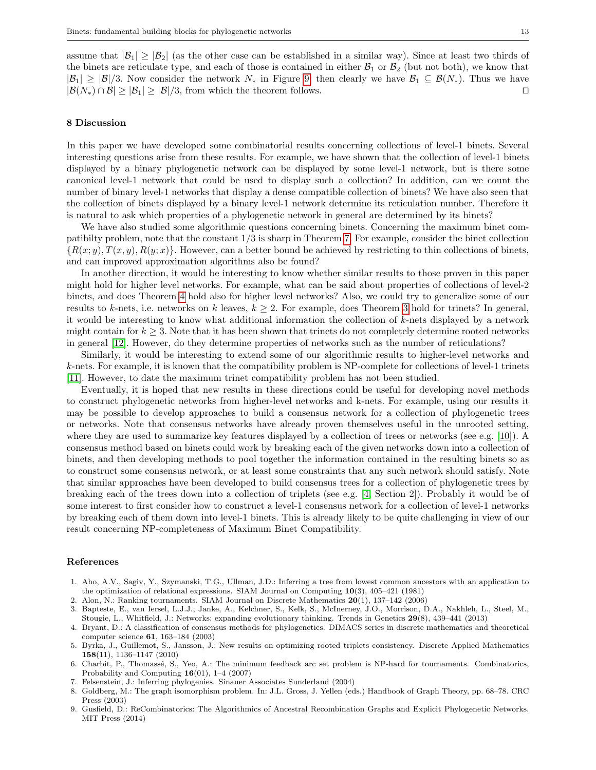assume that  $|\mathcal{B}_1| \geq |\mathcal{B}_2|$  (as the other case can be established in a similar way). Since at least two thirds of the binets are reticulate type, and each of those is contained in either  $\mathcal{B}_1$  or  $\mathcal{B}_2$  (but not both), we know that  $|\mathcal{B}_1| \geq |\mathcal{B}|/3$ . Now consider the network  $N_*$  in Figure [9,](#page-11-2) then clearly we have  $\mathcal{B}_1 \subseteq \mathcal{B}(N_*)$ . Thus we have  $|\mathcal{B}(N_*) \cap \mathcal{B}| > |\mathcal{B}_1| > |\mathcal{B}|/3$  from which the theorem follows  $|\mathcal{B}(N_*) \cap \mathcal{B}| \geq |\mathcal{B}_1| \geq |\mathcal{B}|/3$ , from which the theorem follows.

## <span id="page-12-4"></span>8 Discussion

In this paper we have developed some combinatorial results concerning collections of level-1 binets. Several interesting questions arise from these results. For example, we have shown that the collection of level-1 binets displayed by a binary phylogenetic network can be displayed by some level-1 network, but is there some canonical level-1 network that could be used to display such a collection? In addition, can we count the number of binary level-1 networks that display a dense compatible collection of binets? We have also seen that the collection of binets displayed by a binary level-1 network determine its reticulation number. Therefore it is natural to ask which properties of a phylogenetic network in general are determined by its binets?

We have also studied some algorithmic questions concerning binets. Concerning the maximum binet compatibilty problem, note that the constant 1/3 is sharp in Theorem [7.](#page-11-1) For example, consider the binet collection  ${R(x; y), T(x, y), R(y; x)}$ . However, can a better bound be achieved by restricting to thin collections of binets, and can improved approximation algorithms also be found?

In another direction, it would be interesting to know whether similar results to those proven in this paper might hold for higher level networks. For example, what can be said about properties of collections of level-2 binets, and does Theorem [4](#page-8-0) hold also for higher level networks? Also, we could try to generalize some of our results to k-nets, i.e. networks on k leaves,  $k \geq 2$ . For example, does Theorem [3](#page-7-0) hold for trinets? In general, it would be interesting to know what additional information the collection of k-nets displayed by a network might contain for  $k \geq 3$ . Note that it has been shown that trinets do not completely determine rooted networks in general [\[12\]](#page-13-7). However, do they determine properties of networks such as the number of reticulations?

Similarly, it would be interesting to extend some of our algorithmic results to higher-level networks and k-nets. For example, it is known that the compatibility problem is NP-complete for collections of level-1 trinets [\[11\]](#page-13-3). However, to date the maximum trinet compatibility problem has not been studied.

Eventually, it is hoped that new results in these directions could be useful for developing novel methods to construct phylogenetic networks from higher-level networks and k-nets. For example, using our results it may be possible to develop approaches to build a consensus network for a collection of phylogenetic trees or networks. Note that consensus networks have already proven themselves useful in the unrooted setting, where they are used to summarize key features displayed by a collection of trees or networks (see e.g. [\[10\]](#page-13-8)). A consensus method based on binets could work by breaking each of the given networks down into a collection of binets, and then developing methods to pool together the information contained in the resulting binets so as to construct some consensus network, or at least some constraints that any such network should satisfy. Note that similar approaches have been developed to build consensus trees for a collection of phylogenetic trees by breaking each of the trees down into a collection of triplets (see e.g. [\[4,](#page-12-9) Section 2]). Probably it would be of some interest to first consider how to construct a level-1 consensus network for a collection of level-1 networks by breaking each of them down into level-1 binets. This is already likely to be quite challenging in view of our result concerning NP-completeness of Maximum Binet Compatibility.

## References

<span id="page-12-5"></span>1. Aho, A.V., Sagiv, Y., Szymanski, T.G., Ullman, J.D.: Inferring a tree from lowest common ancestors with an application to the optimization of relational expressions. SIAM Journal on Computing 10(3), 405–421 (1981)

<span id="page-12-7"></span>2. Alon, N.: Ranking tournaments. SIAM Journal on Discrete Mathematics 20(1), 137–142 (2006)

- <span id="page-12-0"></span>3. Bapteste, E., van Iersel, L.J.J., Janke, A., Kelchner, S., Kelk, S., McInerney, J.O., Morrison, D.A., Nakhleh, L., Steel, M., Stougie, L., Whitfield, J.: Networks: expanding evolutionary thinking. Trends in Genetics 29(8), 439–441 (2013)
- <span id="page-12-9"></span>4. Bryant, D.: A classification of consensus methods for phylogenetics. DIMACS series in discrete mathematics and theoretical computer science 61, 163–184 (2003)
- <span id="page-12-3"></span>5. Byrka, J., Guillemot, S., Jansson, J.: New results on optimizing rooted triplets consistency. Discrete Applied Mathematics 158(11), 1136–1147 (2010)
- <span id="page-12-8"></span>6. Charbit, P., Thomass´e, S., Yeo, A.: The minimum feedback arc set problem is NP-hard for tournaments. Combinatorics, Probability and Computing  $16(01)$ , 1–4 (2007)
- <span id="page-12-1"></span>7. Felsenstein, J.: Inferring phylogenies. Sinauer Associates Sunderland (2004)
- <span id="page-12-6"></span>8. Goldberg, M.: The graph isomorphism problem. In: J.L. Gross, J. Yellen (eds.) Handbook of Graph Theory, pp. 68–78. CRC Press (2003)
- <span id="page-12-2"></span>9. Gusfield, D.: ReCombinatorics: The Algorithmics of Ancestral Recombination Graphs and Explicit Phylogenetic Networks. MIT Press (2014)